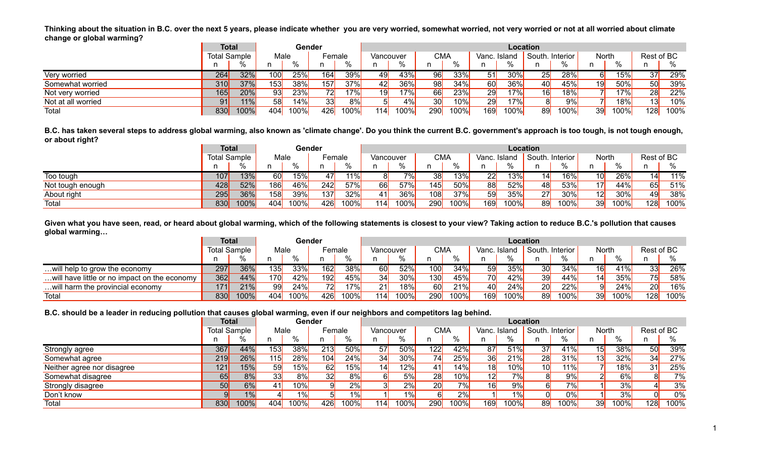**Thinking about the situation in B.C. over the next 5 years, please indicate whether you are very worried, somewhat worried, not very worried or not at all worried about climate change or global warming?**

| $\sim$<br>$\overline{\phantom{a}}$ | <b>Total</b> |                     |      | Gender |            |       |           |          |                   |         |       | <b>Location</b> |              |          |       |          |            |      |
|------------------------------------|--------------|---------------------|------|--------|------------|-------|-----------|----------|-------------------|---------|-------|-----------------|--------------|----------|-------|----------|------------|------|
|                                    |              | <b>Total Sample</b> | Male |        | Female     |       | Vancouver |          | <b>CMA</b>        |         | Vanc. | . Island        | South.       | Interior | Nortl |          | Rest of BC |      |
|                                    |              |                     |      |        |            |       |           | $\Omega$ |                   |         |       | $\sim$          |              |          |       | $\Omega$ |            |      |
| Very worried                       | 264          | 32%                 | 100  | 25%    | 164        | 39%   |           | 43%      | <b>QAI</b>        | 33%     | 51I   | $30\%$          | המ<br>∠J     | 28%      |       | 5%       | 37         | 29%  |
| Somewhat worried                   | 310          | 37%                 | 153  | 38%    | 157        | 37%   | 42I       | 36%      | <b>QRI</b>        | 34%     | 60    | 36%             | 40I          | 45%      |       | 50%      | 50         | 39%  |
| Not very worried                   | 165          | 20%                 | 93   | 23%    | <u>חרד</u> | 17%   | 19        | 17%      | 66 <mark>l</mark> | 23%     | 29    | 17%             | 16           | 18%      |       | 17%      | 28         | 22%  |
| Not at all worried                 | 91           | 11%                 | 58   | 14%    | 33         | $8\%$ |           | $\%$     | ว∩∣               | 10%     | 29    | 17%             |              | 9%       |       | 18%      | 13         | 10%  |
| Total                              | 830          | 100%                | 404  | 100%   | 426        | 100%  | 114       | $100\%$  | 290               | $100\%$ | 169   | 100%            | $\mathbf{O}$ | 100%     |       | $100\%$  | 128        | 100% |

**B.C. has taken several steps to address global warming, also known as 'climate change'. Do you think the current B.C. government's approach is too tough, is not tough enough, or about right?**

|                  | <b>Total</b>        |      |      | Gender   |                      |         |                  |             |             |        |      | <b>Location</b> |                 |         |           |               |     |                        |
|------------------|---------------------|------|------|----------|----------------------|---------|------------------|-------------|-------------|--------|------|-----------------|-----------------|---------|-----------|---------------|-----|------------------------|
|                  | <b>Total Sample</b> |      | Male |          | $E$ <sub>emale</sub> |         | Vancouver        |             | <b>CMA</b>  |        | Vanc | Island          | South. Interior |         |           | North         |     | Rest of BC             |
|                  |                     |      |      | $\Omega$ |                      |         |                  | 0/2         |             | $\sim$ |      | 0/              |                 | 70      |           | $\mathbf{O}/$ | -11 |                        |
| Too tough        | 107                 | 13%  |      | 15%      |                      | $11\%$  |                  | 70/         | 38          | 13%    | 22   | 13%             |                 | $16\%$  | 0         | 26%           |     | 11%<br>14              |
| Not tough enough | 428                 | 52%  | 186  | 46%      | 242                  | 57%     | <b>ARI</b>       | <b>E70/</b> | 145         | 50%    | 88   | 52%             |                 | 53%     |           | 44%           |     | 51%<br>65              |
| About right      | 295                 | 36%  | 158  | 39%      | 137                  | 32%     |                  | 36%         | 108         | 37%    | 59   | 35%             | 27              | 30%     | 12        | 30%           |     | 38%<br>49 <b>Julie</b> |
| Total            | 830                 | 100% | 404  | 100%     | 426                  | $100\%$ | 114 <sub>1</sub> | $100\%$     | pool<br>∠ບບ | 100%   | 169  | 100%            | .oc             | $100\%$ | 30I<br>◡◡ | 100%          | 128 | $100\%$                |

**Given what you have seen, read, or heard about global warming, which of the following statements is closest to your view? Taking action to reduce B.C.'s pollution that causes global warming…**

|                                                | <b>Total</b> |                     |            | Gender |                          |      |           |           |            |                   |                   | <b>Location</b> |                 |                                   |       |                         |             |
|------------------------------------------------|--------------|---------------------|------------|--------|--------------------------|------|-----------|-----------|------------|-------------------|-------------------|-----------------|-----------------|-----------------------------------|-------|-------------------------|-------------|
|                                                |              | <b>Total Sample</b> | Male       |        | Female                   |      | Vancouver |           | <b>CMA</b> |                   | Vanc.             | Island          | South. Interior |                                   | Norti |                         | Rest of BC  |
|                                                |              |                     |            |        |                          |      |           | $\Omega'$ |            |                   |                   | $\sim$          |                 |                                   |       | $\Omega$                |             |
| will help to grow the economy                  | 297          | 36%                 | 135        | 33%    | 162                      | 38%  | 60        | 52%       | 100        | 34%               | 59 I              | 35%             |                 | 34%                               |       | 110(1)<br>$\frac{1}{2}$ | 26%<br>33   |
| will have little or no impact on the economy ' | 362          | 44%                 | <b>170</b> | 42%    | 192                      | 45%  | 34        | 30%       | 130L       | 45%               | <b>70</b>         | 42%             | 30l<br>◡◡       | $\Lambda \Lambda$ <sup>0</sup> /- |       | 35%                     | 58%<br>75I  |
| will harm the provincial economy.              | 171          | 21%                 | 99         | 24%    | $\overline{\phantom{a}}$ | 17%  | 211       | 18%       | രി         | 21%               | 40 <mark> </mark> | 24%             | 20              | 22%                               |       | 24%                     | 6%<br>20    |
| Total                                          | 830          | 100%                | 404        | 100%   | 426                      | 100% | 114       | 100%)     | <b>290</b> | 100% <sub>l</sub> | 169               | 100%            | $\sim$          | 100%                              |       | 100% <sub>l</sub>       | 100%<br>128 |

**B.C. should be a leader in reducing pollution that causes global warming, even if our neighbors and competitors lag behind.**

|                            | <b>Total</b>        |      |      | Gender |                  |         |           |                      |                 |      |              |     | Location        |                       |    |                   |             |
|----------------------------|---------------------|------|------|--------|------------------|---------|-----------|----------------------|-----------------|------|--------------|-----|-----------------|-----------------------|----|-------------------|-------------|
|                            | <b>Total Sample</b> |      | Male |        | Female           |         | Vancouver |                      | <b>CMA</b>      |      | Vanc. Island |     | South. Interior |                       |    | North             | Rest of BC  |
|                            |                     |      |      |        |                  |         |           | $\frac{0}{6}$        |                 |      |              |     |                 |                       |    |                   |             |
| Strongly agree             | 367                 | 44%  | 153  | 38%    | $\overline{213}$ | 50%     |           | <b>50%</b>           | 22I             | 42%  |              | 51% | 27              | 41%                   | 15 | 38%               | 39%         |
| Somewhat agree             | 219                 | 26%  | 115  | 28%    | 104              | 24%     | 34I.      | 30%L<br><b>UU</b> 70 | 74I             | 25%  | 36           | 21% | 28              | 31%                   | 13 | 32%               | 27%<br>34   |
| Neither agree nor disagree | 121                 | 15%  | 59   | 15%    |                  | 15%     |           | 12%                  | 41              | 14%  | 18           | 10% | ιu              | 11%                   |    | 18%               | 25%<br>31   |
| Somewhat disagree          | 65                  | 8%   | 33   | 8%     |                  | ጸ%      |           | 5%                   | 28              | 10%  |              | 7%  |                 | ົາ%າ                  |    | 3%1               | 7%          |
| <b>Strongly disagree</b>   | 50                  | 6%   | 411  | 10%    |                  | 20/     |           | 2%                   | 20 <sub>l</sub> | 7%   | 16           | 9%  |                 | 70/3<br>7٥١           |    | 3%                | 3%          |
| Don't know                 |                     |      |      | 1%     |                  |         |           |                      |                 | 2%   |              | 1%  |                 | $\gamma$ <sup>0</sup> |    | 3%                | 0%          |
| Total                      | 830                 | 100% | 404  | 100%   | 426              | $100\%$ | 114       | 100%                 | 290             | 100% | 169          | 00% | 89              | 100%                  | 39 | 100% <sub>)</sub> | 100%<br>128 |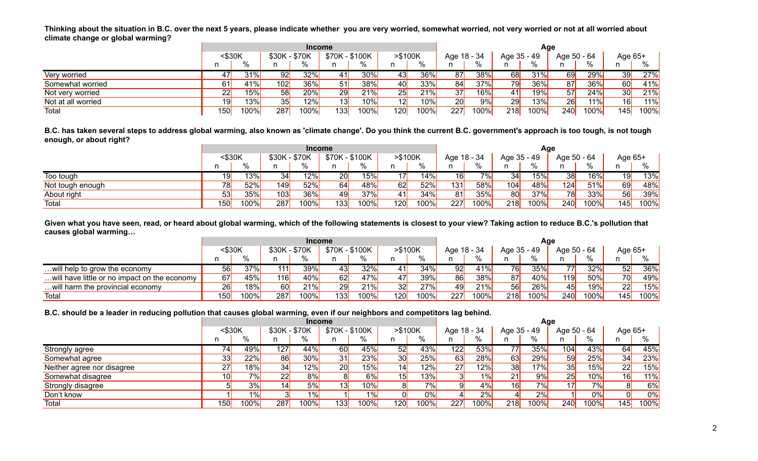**Thinking about the situation in B.C. over the next 5 years, please indicate whether you are very worried, somewhat worried, not very worried or not at all worried about climate change or global warming?**

|                    |        |      |               | <b>Income</b> |                |        |         |      |             |      |             | Age  |             |      |                 |        |
|--------------------|--------|------|---------------|---------------|----------------|--------|---------|------|-------------|------|-------------|------|-------------|------|-----------------|--------|
|                    | <\$30K |      | \$30K - \$70K |               | \$70K - \$100K |        | >\$100K |      | Age 18 - 34 |      | Age 35 - 49 |      | Age 50 - 64 |      | Age 65+         |        |
|                    |        | %    |               | $\frac{0}{6}$ | n              | %      |         | 0/2  |             |      |             |      |             | %    |                 |        |
| Very worried       | 17I    | 31%  | 92            | 32%           | 41             | $30\%$ | 43      | 36%  | 87          | 38%  | 68          | 31%  | 69          | 29%  | 39              | 27%    |
| Somewhat worried   | 61     | 41%  | 102           | 36%           | 51             | 38%    | 40      | 33%  | 84          | 37%  | 79          | 36%  | 87          | 36%l | 60              | 41%    |
| Not very worried   | 22     | 15%  | 58            | 20%           | 29             | 21%    | 25      | 21%  | 37          | 16%  |             | 19%  | 57          | 24%  | 30 <sup>l</sup> | 21%    |
| Not at all worried | 19     | 13%  | 35            | 12%           | 13             | 10%    | 12      | 10%  | 20          | 9%   | 29          | 13%  | 26          | 11%  | 16 <sup>l</sup> | $11\%$ |
| Total              | 150    | 100% | 287           | $100\%$       | 133            | 100%   | 120     | 100% | 227         | 100% | 218         | 100% | <b>240</b>  | 100% | 145             | 100%   |

**B.C. has taken several steps to address global warming, also known as 'climate change'. Do you think the current B.C. government's approach is too tough, is not tough enough, or about right?**

|                  |        |        |               | <b>Income</b> |                |               |         |        |             |      |             | Aqe  |             |      |         |      |
|------------------|--------|--------|---------------|---------------|----------------|---------------|---------|--------|-------------|------|-------------|------|-------------|------|---------|------|
|                  | <\$30K |        | \$30K - \$70K |               | \$70K - \$100K |               | >\$100K |        | Age 18 - 34 |      | Age 35 - 49 |      | Age 50 - 64 |      | Age 65+ |      |
|                  |        | %      |               | 0/2           |                | $\frac{0}{6}$ | n       | %      |             | 0/2  |             |      |             | $\%$ |         | %    |
| Too tough        | 19     | $13\%$ | 34            | 12%           | 20             | 15%           |         | $14\%$ | 16          | 7%   | 34          | 15%  | 38          | 16%  | 19      | 13%  |
| Not tough enough | 78     | 52%    | 149           | 52%           | 64             | 48%           | 62      | 52%    | 131         | 58%  | 104         | 48%  | 124         | 51%  | 69      | 48%  |
| About right      | 53'    | 35%    | 103           | 36%           | 49             | 37%           |         | 34%    | 81          | 35%  | <b>80</b>   | 37%  | 78          | 33%  | 56      | 39%  |
| Total            | 150    | 100%   | 287           | 100%          | 133            | 100%          | 120     | 100%   | 227         | 100% | <b>218</b>  | 100% | 240         | 100% | 145     | 100% |

**Given what you have seen, read, or heard about global warming, which of the following statements is closest to your view? Taking action to reduce B.C.'s pollution that causes global warming…**

|                                                |        |             |               | <b>Income</b> |                |               |                 |      |             |      |                   | Age  |             |      |           |        |
|------------------------------------------------|--------|-------------|---------------|---------------|----------------|---------------|-----------------|------|-------------|------|-------------------|------|-------------|------|-----------|--------|
|                                                | <\$30K |             | \$30K - \$70K |               | \$70K - \$100K |               | >\$100K         |      | Age 18 - 34 |      | Age 35 - 49       |      | Age 50 - 64 |      | Age 65+   |        |
|                                                |        | %           | n.            | %             |                | $\frac{1}{2}$ |                 | %    |             | %    |                   | %    |             | %    |           |        |
| will help to grow the economy                  | 56     | 37%         |               | 39%           | 43             | 32%           | 41              | 34%l | 92          | 41%  | 76 <mark> </mark> | 35%  | 77I         | 32%  | 52        | $36\%$ |
| will have little or no impact on the economy ' | 67     | 45%         | 116l          | 40%           | 62             | 47%           |                 | 39%  | 86          | 38%  | 87                | 40%  | 119         | 50%  | <b>70</b> | 49%    |
| will harm the provincial economy               | 26     | 18%         | 60            | 21%           | 29             | 21%           | 32 <sub>l</sub> | 27%  | 49          | 21%  | 56                | 26%  | 45          | 19%  | 22        | 15%    |
| Total                                          | 150    | <b>100%</b> | 287           | 100%          | 133            | 100%l         | 120             | 100% | 227         | 100% | 218               | 100% | <b>240</b>  | 100% | 145       | 100%   |

#### **B.C. should be a leader in reducing pollution that causes global warming, even if our neighbors and competitors lag behind.**

|                            |           |         |                  | <b>Income</b> |                |       |                 |      |             |      |             | Age   |                  |                     |         |             |
|----------------------------|-----------|---------|------------------|---------------|----------------|-------|-----------------|------|-------------|------|-------------|-------|------------------|---------------------|---------|-------------|
|                            | $<$ \$30K |         | \$30K - \$70K    |               | \$70K - \$100K |       | $> $100K$       |      | Age 18 - 34 |      | Age 35 - 49 |       | Age 50 - 64      |                     | Age 65+ |             |
|                            | n         | %       |                  | %             |                | %     | n               | %    |             | %    | n           |       |                  | %                   |         |             |
| Strongly agree             | 74        | 49%     | $\overline{127}$ | 44%           | 60             | 45%   | 52              | 43%  | 122         | 53%  | 77          | 35%   | 104 <sub>1</sub> | 43%                 | 64      | 45%         |
| Somewhat agree             | 33        | 22%     | 86               | 30%           | 31             | 23%   | 30 <sub>l</sub> | 25%  | 63          | 28%  | 63          | 29%   | 59               | 25%                 | 34      | 23%         |
| Neither agree nor disagree | 27        | 18%     | 34               | 12%           | 20             | 15%   | 14              | 12%  | 27          | 12%  | 38          | 17%   | 35               | 15%                 | 22      | 15%         |
| Somewhat disagree          | 10        | 7%      | 22               | 8%            |                | 6%    | 15              | 13%  |             | 1%   | 21          | 9%    | 25               | 10%                 | 16      | 11%         |
| Strongly disagree          |           | 3%      |                  | 5%            | 13             | 10%   | 81              | 7%I  |             | 4%   | 16          | 7%    | 17               | 7%                  |         | 6%          |
| Don't know                 |           | $1\%$   |                  | 1%            |                | $1\%$ |                 | 0%   | 41          | 2%   |             | 2%    |                  | 0%                  |         | 0%          |
| Total                      | 150       | $100\%$ | 287              | 100%          | 133            | 100%l | 120             | 100% | 227         | 100% | 218         | 100%) | <b>240</b>       | 100% <mark> </mark> | 145     | <b>100%</b> |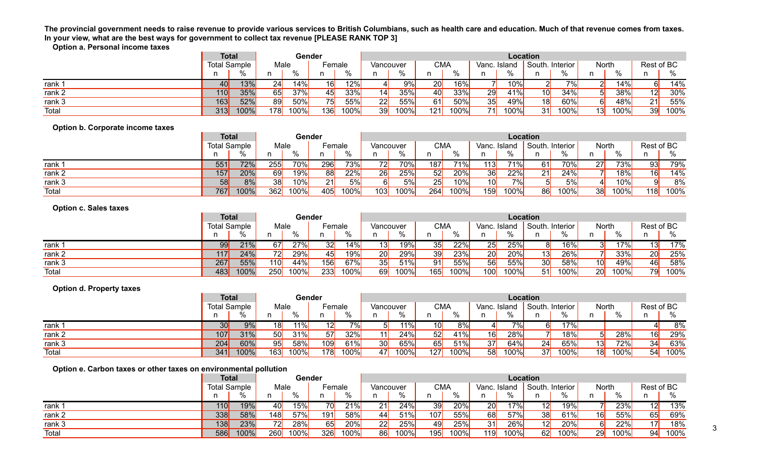## **The provincial government needs to raise revenue to provide various services to British Columbians, such as health care and education. Much of that revenue comes from taxes. In your view, what are the best ways for government to collect tax revenue [PLEASE RANK TOP 3]**

**Option a. Personal income taxes**

|                   | Total               |          |      | Gender |        |                   |           |          |                   |        |       | Location |                 |         |               |         |            |      |
|-------------------|---------------------|----------|------|--------|--------|-------------------|-----------|----------|-------------------|--------|-------|----------|-----------------|---------|---------------|---------|------------|------|
|                   | <b>Total Sample</b> |          | Male |        | Female |                   | Vancouver |          | <b>CMA</b>        |        | Vanc. | . Island | South. Interior |         | North         |         | Rest of BC |      |
|                   |                     | ്റ       |      |        |        |                   |           | $\Omega$ |                   | $\sim$ |       | $\%$     |                 |         | $\sim$<br>7 U |         |            | 70   |
| rank              | 40                  | 13%      | 241  | 14%    | 16)    | $12\%$            |           | 9%       | 20 <sub>l</sub>   | 16%    |       | 10%      |                 | 701     |               | 14%     |            | 14%  |
| rank 2            | 110                 | 35%      | 65   | 37%    |        | 33%               | 14I       | 35%      | 40 <mark> </mark> | 33%    | 29    | 41%      |                 | 34%     |               | 38%     | 12         | 30%  |
| rank <sub>3</sub> | 163                 | 52%      | 89   | 50%    |        | $\overline{55\%}$ | ാവ<br>22  | 55%      | 61                | 50%    | 35    | 49%      | 1 Q I           | 60%     |               | 48%     | 21         | 55%  |
| Total             |                     | 313 100% | 178  | 100%   | 136    | 100%              | 39        | $100\%$  | 121 l             | 100%   | 71    | 100%     | - 21<br>ັ       | $100\%$ | 13            | $100\%$ | 39         | 100% |

## **Option b. Corporate income taxes**

|                   | <b>Total</b>        |      |                 | Gender |                      |         |           |         |                 |        |                 |          | <b>Location</b> |              |     |          |                     |            |      |
|-------------------|---------------------|------|-----------------|--------|----------------------|---------|-----------|---------|-----------------|--------|-----------------|----------|-----------------|--------------|-----|----------|---------------------|------------|------|
|                   | <b>Total Sample</b> |      | Male            |        | $E$ <sub>emale</sub> |         | Vancouver |         | <b>CMA</b>      |        | Vanc            | Island   | South. Interior |              |     | North    |                     | Rest of BC |      |
|                   |                     |      |                 | 0/     |                      |         |           | $\%$    |                 | $\sim$ |                 | $\Omega$ |                 |              |     | $\Omega$ |                     |            |      |
| rank              | 551                 | 72%  | 255             | 70%    | 296                  | 73%     | 701       | 70%     | 87 <sup>1</sup> | 71%    | 113             | 71%      |                 | 70%          | 27  |          | 73%                 | 93         | 79%  |
| rank <sub>2</sub> | 157                 | 20%  | 69              | 19%    | 88                   | 22%     | 26        | 25%     | 52              | 20%    | 36              | 22%      | - 24<br>∼       | 24%          |     |          | $18\%$              | 16         | 14%  |
| rank 3            | 58                  | 8%   | 38 <sup>1</sup> | 10%    | 21                   | 5%      |           | 5%      | 25              | 10%    | 10 <sup>l</sup> | 7%       |                 | $F^{\alpha}$ |     |          | 10%                 |            | 8%   |
| Total             | 767                 | 100% | 362             | 100%   | 405                  | $100\%$ | 103       | $100\%$ | 264             | 100%   | 159             | 100%     | $\Omega$        | 100%         | 321 |          | 100% <mark>)</mark> | 118        | 100% |

## **Option c. Sales taxes**

|        | <b>Total</b>        |      |      |      | Gender |      |           |                  |            |         |       |              | <b>Location</b> |        |       |          |                 |         |
|--------|---------------------|------|------|------|--------|------|-----------|------------------|------------|---------|-------|--------------|-----------------|--------|-------|----------|-----------------|---------|
|        | <b>Total Sample</b> |      | Male |      | Female |      | Vancouver |                  | <b>CMA</b> |         | Vanc. | : Island     | South. Interior |        | Nortl |          | Rest of BC      |         |
|        |                     |      |      | 0/2  |        |      |           | %                |            | 0/2     |       | $\mathbf{a}$ |                 | $\sim$ |       | $\Omega$ |                 |         |
| rank   | 99                  | 21%  | 671  | 27%  | 32     | 14%  |           | 19% <sub>)</sub> | 35I        | 22%     | 25    | 25%          |                 | 16%    |       | 17%      | I3I             | 17%     |
| rank 2 | 117                 | 24%  | 72   | 29%  | 45     | 19%  | ാവ<br>∠∪⊧ | 29%              | 39         | 23%     | 20    | 20%          | 10 L            | 26%    |       | 33%      | 20 <sub>l</sub> | 25%     |
| rank 3 | 267                 | 55%  | 110  | 44%  | 156    | 67%  | 25 I      | 51%              | 91         | 55%     | 56    | 55%          | 30 <sup>l</sup> | 58%    | ושו   | 49%      | 46I             | 58%     |
| Total  | 483                 | 100% | 250  | 100% | 233    | 100% | 69        | $100\%$          | 165        | $100\%$ | 100   | 100%         | 51              | 100%   | ∠∪ı   | 100%     | 7al             | $100\%$ |

## **Option d. Property taxes**

|                   | <b>Total</b>        |          |      |      | Gender |       |            |         |            |          |      |        | Location        |        |                   |             |            |          |
|-------------------|---------------------|----------|------|------|--------|-------|------------|---------|------------|----------|------|--------|-----------------|--------|-------------------|-------------|------------|----------|
|                   | <b>Total Sample</b> |          | Male |      | Female |       | Vancouver  |         | <b>CMA</b> |          | Vanc | Island | South. Interior |        | Nort <sub>i</sub> |             | Rest of BC |          |
|                   |                     |          | n.   |      |        |       |            | $\%$    |            | $\Omega$ |      | $\sim$ |                 | $\sim$ |                   | 70          |            | $\Omega$ |
| rank <sup>-</sup> | 30 <sub>l</sub>     | 9%       | 181  | 11%  | 121    | $7\%$ |            | $11\%$  | 10I        |          |      | 701    |                 | 170/   |                   |             |            | 8%       |
| rank 2            | 107                 | 31%      | 50   | 31%  | 57     | 32%   | 11 I       | 24%     | 52         | 41%      | 16   | 28%    |                 | 18%    |                   | 28%         | 16         | 29%      |
| rank 3            | 204                 | 60%      | 95   | 58%  | 109    | 61%   | ?∩<br>, JU | 65%     | 65         | 51%      | 37   | 64%    | 24              | 65%    |                   | 72%<br>1270 | 21         | 63%      |
| Total             |                     | 341 100% | 163  | 100% | 178    | 100%  | 47I        | $100\%$ | 127        | 100%     | 58   | 100%   | 37              | 100%   | 1 Q I             | 100%        | 541        | $100\%$  |

#### **Option e. Carbon taxes or other taxes on environmental pollution**

|        | <b>Total</b>        |      |                                 | Gender  |        |      |           |         |                    |         |           |          | <b>Location</b> |         |                    |            |      |
|--------|---------------------|------|---------------------------------|---------|--------|------|-----------|---------|--------------------|---------|-----------|----------|-----------------|---------|--------------------|------------|------|
|        | <b>Total Sample</b> |      | Male                            |         | Female |      | Vancouver |         | <b>CMA</b>         |         | Vanc.     | . Island | South. Interior |         | North              | Rest of BC |      |
|        |                     | . പ  |                                 |         |        |      |           | 0/2     |                    | $\sim$  |           | 0/2      |                 |         |                    |            |      |
| rank   | 110                 | 19%  |                                 | 15%     | 7 UI   | 21%  |           | 24%     | 39I                | 20%     | 20        | 17%      |                 | 19%     | 23%                | 12         | 13%  |
| rank 2 | 338                 | 58%  | 148                             | 57%     | 191    | 58%  | 441       | 51%     | 107 $\vert$        | 55%     | 68        | 57%      | 38<br>୰୳        | 61%     | 55%<br>16 <b> </b> | 651        | 69%  |
| rank 3 | 138                 | 23%  | $\overline{\phantom{a}}$<br>721 | 28%     |        | 20%  | ാവ<br>▵▵  | 25%     | 49                 | 25%     | <b>31</b> | 26%      |                 | 20%     | 22%                | 17l        | 18%  |
| Total  | 586                 | 100% | 260                             | $100\%$ | 326    | 100% | 86I       | $100\%$ | 195 <mark> </mark> | $100\%$ | 119       | 100%     | A <sub>2</sub>  | $100\%$ | 29<br>100%         | 94         | 100% |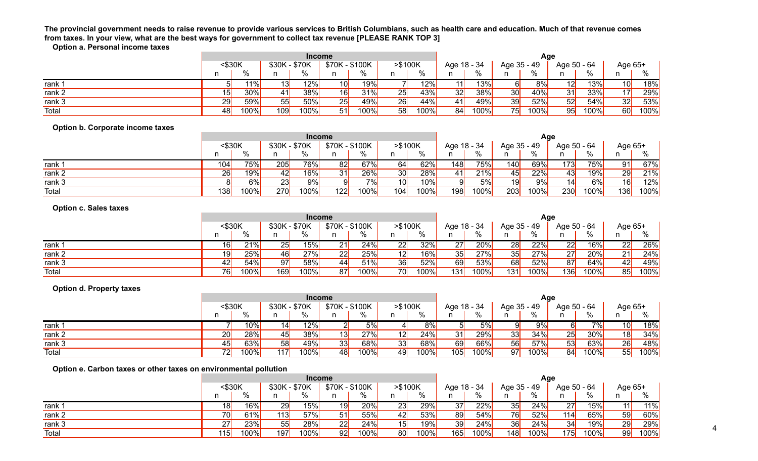# **The provincial government needs to raise revenue to provide various services to British Columbians, such as health care and education. Much of that revenue comes from taxes. In your view, what are the best ways for government to collect tax revenue [PLEASE RANK TOP 3]**

**Option a. Personal income taxes**

|                                  |            |           |                 | <b>Income</b> |                 |      |                 |      |                   |             |                | Age  |             |      |                 |      |
|----------------------------------|------------|-----------|-----------------|---------------|-----------------|------|-----------------|------|-------------------|-------------|----------------|------|-------------|------|-----------------|------|
|                                  | $<$ \$30K  |           | \$30K - \$70K   |               | \$70K - \$100K  |      | >\$100K         |      | Age 18 - 34       |             | Age 35 - 49    |      | Age 50 - 64 |      | Age 65+         |      |
|                                  | n          | $\%$      | n               | ℅             | n               | %    | n               | ℅    | n.                | %           | n              | %    | n           | %    | n               | %    |
| rank 1                           | $5 \mid$   | 11%       | 13              | 12%           | 10              | 19%  |                 | 12%  | 11                | 13%         | 6 <sup>1</sup> | 8%   | 12          | 13%  | 10              | 18%  |
| rank <sub>2</sub>                | 15         | 30%       | 41              | 38%           | 16              | 31%  | 25              | 43%  | 32                | 38%         | 30             | 40%  | 31          | 33%  | 17              | 29%  |
| rank $3$                         | 29         | 59%       | 55              | 50%           | 25              | 49%  | 26              | 44%  | 41                | 49%         | 39             | 52%  | 52          | 54%  | 32              | 53%  |
| <b>Total</b>                     | 48         | 100%      | 109             | 100%          | 51              | 100% | 58              | 100% | 84                | 100%        | 75             | 100% | 95          | 100% | 60              | 100% |
| Option b. Corporate income taxes |            |           |                 |               |                 |      |                 |      |                   |             |                |      |             |      |                 |      |
|                                  |            |           |                 | <b>Income</b> |                 |      |                 |      |                   |             |                | Age  |             |      |                 |      |
|                                  | $<$ \$30K  |           | \$30K - \$70K   |               | \$70K - \$100K  |      | >\$100K         |      |                   | Age 18 - 34 | Age 35 - 49    |      | Age 50 - 64 |      | Age 65+         |      |
|                                  | n          | $\%$      | n               | %             | n               | %    | n               | %    | n.                | %           | n.             | %    | n           | %    | n               | %    |
| rank 1                           | 104        | 75%       | 205             | 76%           | 82              | 67%  | 64              | 62%  | 148               | 75%         | 140            | 69%  | 173         | 75%  | 91              | 67%  |
| rank 2                           | 26         | 19%       | 42              | 16%           | 31              | 26%  | 30              | 28%  | 41                | 21%         | 45             | 22%  | 43          | 19%  | 29              | 21%  |
| rank 3                           | 8          | 6%        | $\overline{23}$ | 9%            | $\overline{9}$  | 7%   | 10              | 10%  | 9                 | 5%          | 19             | 9%   | 14          | 6%   | 16              | 12%  |
| Total                            | <b>138</b> | 100%      | 270             | 100%          | 122             | 100% | 104             | 100% | 198               | 100%        | 203            | 100% | 230         | 100% | 136             | 100% |
|                                  |            |           |                 |               |                 |      |                 |      |                   |             |                |      |             |      |                 |      |
| <b>Option c. Sales taxes</b>     |            |           |                 |               |                 |      |                 |      |                   |             |                |      |             |      |                 |      |
|                                  |            |           | \$30K - \$70K   | <b>Income</b> |                 |      | >\$100K         |      |                   |             |                | Age  |             |      |                 |      |
|                                  | $<$ \$30K  | %         |                 | ℅             | \$70K - \$100K  | $\%$ |                 | %    | Age 18 - 34<br>n. | %           | Age 35 - 49    | %    | Age 50 - 64 | ℅    | Age 65+<br>n    | %    |
|                                  | n          |           | n               |               | n               |      | n               |      |                   |             | n              |      | n           |      |                 |      |
| rank 1                           | 16         | 21%       | 25              | 15%           | 21              | 24%  | $\overline{22}$ | 32%  | 27                | 20%         | 28             | 22%  | 22          | 16%  | 22              | 26%  |
| rank 2                           | 19         | 25%       | 46              | 27%           | $\overline{22}$ | 25%  | 12              | 16%  | 35                | 27%         | 35             | 27%  | 27          | 20%  | $\overline{21}$ | 24%  |
| rank 3                           | 42         | 54%       | 97              | 58%           | 44              | 51%  | 36              | 52%  | 69                | 53%         | 68             | 52%  | 87          | 64%  | 42              | 49%  |
| Total                            | 76         | 100%      | 169             | 100%          | 87              | 100% | $\overline{70}$ | 100% | $\overline{131}$  | 100%        | 131            | 100% | 136         | 100% | 85              | 100% |
| <b>Option d. Property taxes</b>  |            |           |                 |               |                 |      |                 |      |                   |             |                |      |             |      |                 |      |
|                                  |            |           |                 | <b>Income</b> |                 |      |                 |      |                   |             |                | Age  |             |      |                 |      |
|                                  |            | $<$ \$30K | \$30K - \$70K   |               | \$70K - \$100K  |      | $> $100K$       |      | Age 18 - 34       |             | Age 35 - 49    |      | Age 50 - 64 |      | Age 65+         |      |
|                                  | n          | %         | n               | %             | n               | $\%$ | n               | $\%$ | n.                | %           | n              | %    | n.          | $\%$ | n               | %    |
| rank 1                           |            | 10%       | 14              | 12%           | $\overline{2}$  | 5%   | $\frac{4}{ }$   | 8%   | 5                 | 5%          | 9 <sub>l</sub> | 9%   | $6 \mid$    | 7%   | 10              | 18%  |
| rank <sub>2</sub>                | 20         | 28%       | 45              | 38%           | 13              | 27%  | 12              | 24%  | 31                | 29%         | 33             | 34%  | 25          | 30%  | 18              | 34%  |

### **Option e. Carbon taxes or other taxes on environmental pollution**

|                   |        |               |               |      | <b>Income</b>  |                     |                 |             |             |      |             |      | Age         |      |         |      |
|-------------------|--------|---------------|---------------|------|----------------|---------------------|-----------------|-------------|-------------|------|-------------|------|-------------|------|---------|------|
|                   | <\$30K |               | \$30K - \$70K |      | \$70K - \$100K |                     | >\$100K         |             | Age 18 - 34 |      | Age 35 - 49 |      | Age 50 - 64 |      | Age 65+ |      |
|                   |        | $\frac{0}{6}$ | n             | %    |                |                     |                 | %           |             | %    |             |      |             | %    |         |      |
| rank <sup>-</sup> | 18     | $16\%$        | 29            | 15%  | 19             | 20%                 | $\overline{2}3$ | $29\%$      | 37          | 22%  | 35          | 24%  | 27          | 15%  | l 1 l   | 11%  |
| rank <sub>2</sub> | 70     | 61%           | 113           | 57%  | 51             | 55%                 | 42 <sub>l</sub> | 53%         | 89          | 54%  | <b>76</b>   | 52%  | 114         | 65%  | 59      | 60%  |
| rank 3            | 27     | 23%           | 55            | 28%  | 22             | 24%                 | 15              | 19%         | 39          | 24%  | 36          | 24%  | 34          | 19%  | 29      | 29%  |
| Total             | 115    | $100\%$       | 197           | 100% | 92             | 100% <mark> </mark> | <b>80</b>       | <b>100%</b> | 165         | 100% | 148         | 100% | 175         | 100% | 99      | 100% |

rank 3 <mark> 45</mark> 63% 58<mark> 49%</mark> 33<mark> 68% 33</mark> 68% 69 66% 56 57% 53 63% 26 48% Total 72 100% 117 100% 48 100% 49 100% 105 100% 97 100% 84 100% 55 100%

4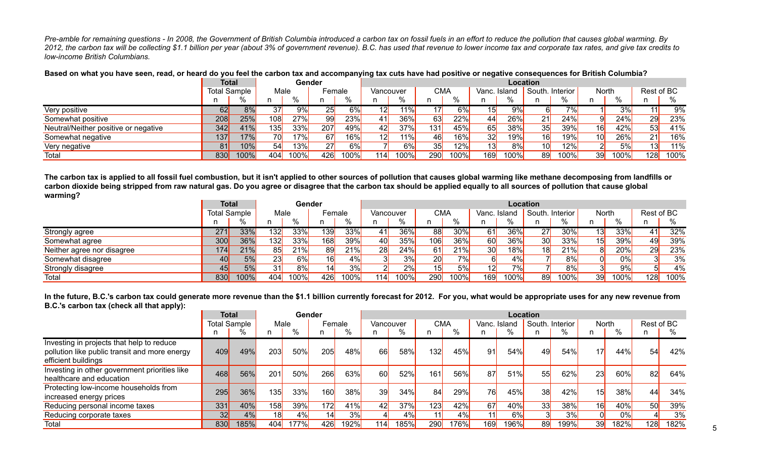*Pre-amble for remaining questions - In 2008, the Government of British Columbia introduced a carbon tax on fossil fuels in an effort to reduce the pollution that causes global warming. By 2012, the carbon tax will be collecting \$1.1 billion per year (about 3% of government revenue). B.C. has used that revenue to lower income tax and corporate tax rates, and give tax credits to low-income British Columbians.* 

|                                      | <b>Total</b>        |        |             | Gender |        |       |           |      |            |      |              |                   | Location        |                          |       |                 |            |      |
|--------------------------------------|---------------------|--------|-------------|--------|--------|-------|-----------|------|------------|------|--------------|-------------------|-----------------|--------------------------|-------|-----------------|------------|------|
|                                      | <b>Total Sample</b> |        | Male        |        | Female |       | Vancouver |      | <b>CMA</b> |      | Vanc. Island |                   | South. Interior |                          | North |                 | Rest of BC |      |
|                                      |                     |        |             |        |        |       |           | 0/   |            |      |              |                   |                 |                          |       | $\sim$          |            |      |
| Very positive                        | o2L                 | ರ ⁄ಂ   | 371         | 9%     |        | $6\%$ |           | 11%  |            | 6%   | 1 디          | 9% <mark> </mark> |                 | $\overline{\phantom{a}}$ |       | 30 <sub>6</sub> |            | 9%   |
| Somewhat positive                    | 208                 | 25%    | 108 $\vert$ | 27%    |        | 23%   |           | 36%  |            | 22%  | 44           | 26%               | 21              | 24%                      |       | 24%             | 291        | 23%  |
| Neutral/Neither positive or negative | 342                 | 41%    | 135         | 33%    | 207    | 49%   |           | 37%  | 131        | 45%  | 65           | 38%               | 35              | 39%                      | 16I   | A 201.          |            | 41%  |
| Somewhat negative                    | 137                 | $'7\%$ | 70          | 17%    | 67     | 16%   |           | 11%  |            | 16%  | 32           | 19%               | 16              | 19%,                     |       | 2606            |            | 16%  |
| Very negative                        | 81                  | 0%     | 54I         | 13%    | 27     | 6%    |           |      |            | 12%  | 131          | 8%                | 10 <sub>l</sub> | 12%                      |       | E0/             |            | 11%  |
| Total                                | 830                 | 100%   | 404         | 100%   | 426    | 100%  | 114       | 100% |            | 100% | 169 $\vert$  | $100\%$           | 89              | 100%                     | 39I   | 100%            | 128        | 100% |

**Based on what you have seen, read, or heard do you feel the carbon tax and accompanying tax cuts have had positive or negative consequences for British Columbia?**

**The carbon tax is applied to all fossil fuel combustion, but it isn't applied to other sources of pollution that causes global warming like methane decomposing from landfills or carbon dioxide being stripped from raw natural gas. Do you agree or disagree that the carbon tax should be applied equally to all sources of pollution that cause global warming?**

|                            |                   | <b>Total</b><br>Total Sample |                  | Gender |        |         |           |      |                 |       |                 |                     | Location |          |       |      |                   |      |
|----------------------------|-------------------|------------------------------|------------------|--------|--------|---------|-----------|------|-----------------|-------|-----------------|---------------------|----------|----------|-------|------|-------------------|------|
|                            |                   |                              | Male             |        | Female |         | Vancouver |      | <b>CMA</b>      |       | Vanc. Island    |                     | South.   | Interior | North |      | Rest of BC        |      |
|                            |                   |                              |                  | %      |        |         |           |      |                 |       |                 | %                   |          | %        | n     |      |                   |      |
| Strongly agree             | 271               | 33%                          | 132 <sub>l</sub> | 33%    | 139    | 33%     |           | 36%  | 88              | 30%   | 61              | 36%                 | 27       | 30%      |       | 33%  | 41l               | 32%  |
| Somewhat agree             | 300               | 36%                          | 132              | 33%    | 168    | 39%     | 40        | 35%  | 106             | 36%   | 60              | 36%                 | 30       | 33%      | 15    | 39%  | 49 <mark>l</mark> | 39%  |
| Neither agree nor disagree | 174I              | 21%                          | 85               | 21%    | 89     | 21%     | 28        | 24%  | 61              | 21%   | 30 <sup>l</sup> | 18%                 | 18       | 21%      |       | 20%  | 29                | 23%  |
| Somewhat disagree          | 40 <mark>l</mark> | 5%                           | 23               | 6%     | 16     | 4%      |           | 3%   | 20              | $7\%$ |                 | 4%                  |          | 8%       |       | 0%   |                   | 3%   |
| Strongly disagree          | 45                | 5%                           | 31               | 8%     | 14     | 3%      |           | 2%   | 15 <sup>1</sup> | 5%    | 12              | 7%                  |          | 8%       |       | 9%   |                   | 4%   |
| Total                      | 830               | $100\%$                      | 404              | 100%   | 426    | $100\%$ | 114       | 100% | 290             | 100%  | 169             | 100% <mark> </mark> | 89       | 100%     | 39    | 100% | 128 <sub>1</sub>  | 100% |

**In the future, B.C.'s carbon tax could generate more revenue than the \$1.1 billion currently forecast for 2012. For you, what would be appropriate uses for any new revenue from B.C.'s carbon tax (check all that apply):**

|                                                                                            | Total               |      |      | Gender |            |             |           |      |      |      |              |      | Location        |        |                 |             |            |      |
|--------------------------------------------------------------------------------------------|---------------------|------|------|--------|------------|-------------|-----------|------|------|------|--------------|------|-----------------|--------|-----------------|-------------|------------|------|
|                                                                                            | <b>Total Sample</b> |      | Male |        | Female     |             | Vancouver |      | СМА  |      | Vanc. Island |      | South. Interior |        | North           |             | Rest of BC |      |
|                                                                                            |                     |      | n    | %      | n.         | %           | n         | %    |      | %    |              | %    |                 | ℅      | n.              | %           | n          | %    |
| Investing in projects that help to reduce<br>pollution like public transit and more energy | 409                 | 49%  | 203  | 50%    | 205        | 48%         | 66        | 58%  | 132  | 45%  | 91           | 54%  | 49              | 54%    | 17 <sup>1</sup> | 44%         | 54         | 42%  |
| efficient buildings                                                                        |                     |      |      |        |            |             |           |      |      |      |              |      |                 |        |                 |             |            |      |
| Investing in other government priorities like<br>healthcare and education                  | 468                 | 56%  | 201  | 50%    | 266        | 63%         | 60        | 52%  | 161  | 56%  | 87           | 51%  | 55              | 62%    | 23              | 60%         | 82         | 64%  |
| Protecting low-income households from<br>increased energy prices                           | 295                 | 36%  | 135  | 33%    | <b>160</b> | 38%         | 39        | 34%  | 84   | 29%  | <b>76</b>    | 45%  | 38              | 42%    | 15              | 38%         | 44         | 34%  |
| Reducing personal income taxes                                                             | 331                 | 40%  | 158  | 39%    | 172        | 41%         | 42        | 37%  | 123  | 42%  | 67           | 40%  | 33              | $38\%$ | 16              | 40%         | 50         | 39%  |
| Reducing corporate taxes                                                                   | 32                  | 4%   | 18   | 4%     | 14         | 3%          |           | 4%   | -111 | 4%   | 11           | 6%   | 31              | 3%     |                 | 0%          |            | 3%   |
| Total                                                                                      | 830                 | 185% | 404  | 177%   | 426        | <b>192%</b> | 1141      | 185% | 290  | 176% | 169          | 196% | 89              | 199%   | 39              | <b>182%</b> | 128        | 182% |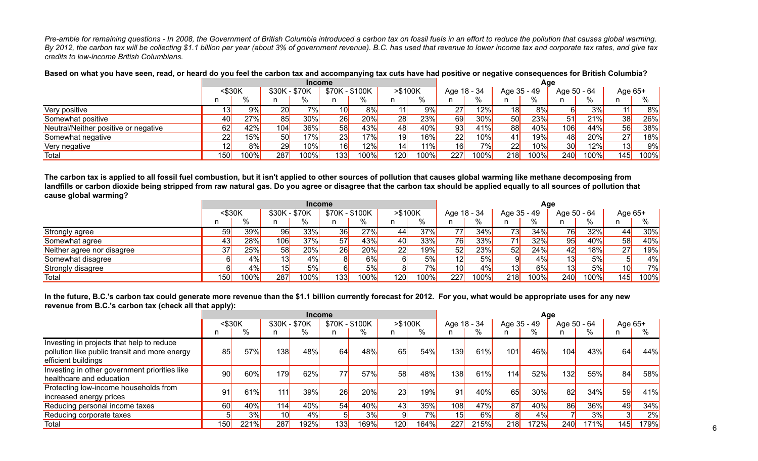*Pre-amble for remaining questions - In 2008, the Government of British Columbia introduced a carbon tax on fossil fuels in an effort to reduce the pollution that causes global warming. By 2012, the carbon tax will be collecting \$1.1 billion per year (about 3% of government revenue). B.C. has used that revenue to lower income tax and corporate tax rates, and give tax credits to low-income British Columbians.* 

|                                      |                 |      |                 | <b>Income</b> |                 |      |         |      |             |       |             | Age     |                 |         |         |      |
|--------------------------------------|-----------------|------|-----------------|---------------|-----------------|------|---------|------|-------------|-------|-------------|---------|-----------------|---------|---------|------|
|                                      | $<$ \$30K       |      | \$30K - \$70K   |               | \$70K - \$100K  |      | >\$100K |      | Age 18 - 34 |       | Age 35 - 49 |         | Age 50 - 64     |         | Age 65+ |      |
|                                      |                 | %    |                 | %             |                 | %    |         | %    |             | %     |             | %       |                 | %       |         |      |
| Very positive                        |                 | 9%   | 20 <sub>l</sub> | $7\%$         | 10 <sub>l</sub> | 8%   |         | 9%   | 27          | 12%   | 18          | 8%      | 61              | 3%      |         | 8%   |
| Somewhat positive                    | 40              | 27%  | 85              | 30%           | 26              | 20%  | 28      | 23%  | 69          | 30%   | 50          | 23%     | 51              | 21%     | 38      | 26%  |
| Neutral/Neither positive or negative | 62              | 42%  | 104             | 36%           | 58              | 43%  | 48      | 40%  | 93          | 41%   | 88          | 40%     | 106             | 44%     | 56      | 38%  |
| Somewhat negative                    | 22              | 15%  | 50              | 17%           | 23              | 17%  | 19      | 16%  | 22          | 10%   | 41          | 19%     | 48              | 20%     | 27      | 18%  |
| Very negative                        | 12 <sup>l</sup> | 8%   | 29              | 10%           | 16              | 12%  | 14ì     | 11%  | 16          | 7%    | 22          | 10%     | 30 <sub>l</sub> | 12%     | 13      | 9%   |
| Total                                | 150             | 100% | 287             | 100%)         | 133             | 100% | 120     | 100% | 227         | 100%) | <b>218</b>  | $100\%$ | 240             | $100\%$ | 145     | 100% |

**Based on what you have seen, read, or heard do you feel the carbon tax and accompanying tax cuts have had positive or negative consequences for British Columbia?**

**The carbon tax is applied to all fossil fuel combustion, but it isn't applied to other sources of pollution that causes global warming like methane decomposing from**  landfills or carbon dioxide being stripped from raw natural gas. Do you agree or disagree that the carbon tax should be applied equally to all sources of pollution that **cause global warming?**

|                            |        |       |                 | Income      |                |       |                 |        |                 |         |                   | Age  |             |      |                 |      |
|----------------------------|--------|-------|-----------------|-------------|----------------|-------|-----------------|--------|-----------------|---------|-------------------|------|-------------|------|-----------------|------|
|                            | <\$30K |       | \$30K - \$70K   |             | \$70K - \$100K |       | >\$100K         |        | Age 18 - 34     |         | Age 35 - 49       |      | Age 50 - 64 |      | Age 65+         |      |
|                            |        | %     | n               |             |                | %     | n               | %      |                 | %       | n.                |      |             | %    | n               | %    |
| Strongly agree             | 59     | 39%   | 96              | 33%         | 36             | 27%   | 44              | $37\%$ | 77              | 34%     | 73 <mark> </mark> | 34%  | 76          | 32%  | 44              | 30%  |
| Somewhat agree             | 43     | 28%   | 106             | 37%         | 57             | 43%   | 40 <sup>°</sup> | 33%    | 76              | 33%     | 71I               | 32%  | 95          | 40%  | 58              | 40%  |
| Neither agree nor disagree | 37     | 25%   | 58              | 20%         | 26             | 20%   | 22              | 19%    | 52              | 23%     | 52                | 24%  | 42          | 18%  | 27              | 19%  |
| Somewhat disagree          |        | 4%    | 13              | 4%          |                | 6%    |                 | 5%     | 12              | 5%      | ΩI                | 4%   | 131         | 5%   |                 | 4%   |
| Strongly disagree          |        | 4%    | 15 <sup>l</sup> | 5%          |                | 5%    |                 | 7%     | 10 <sup>1</sup> | 4%      | 13l               | 6%   | 13          | 5%   | 10 <sup>1</sup> | 7%   |
| Total                      | 150    | 100%) | 287             | 100% $\mid$ | 1331           | 100%l | 120             | 100%   | 227             | $100\%$ | <b>218</b>        | 100% | 240         | 100% | 145             | 100% |

**In the future, B.C.'s carbon tax could generate more revenue than the \$1.1 billion currently forecast for 2012. For you, what would be appropriate uses for any new revenue from B.C.'s carbon tax (check all that apply):**

|                                                                                                                   |                 |      |                 | Income      |                |      |                  |           |             |             |                  | Age     |             |      |           |                     |
|-------------------------------------------------------------------------------------------------------------------|-----------------|------|-----------------|-------------|----------------|------|------------------|-----------|-------------|-------------|------------------|---------|-------------|------|-----------|---------------------|
|                                                                                                                   | $<$ \$30K       |      | \$30K - \$70K   |             | \$70K - \$100K |      |                  | > \$100K  | Age 18 - 34 |             | Age 35 - 49      |         | Age 50 - 64 |      | Age $65+$ |                     |
|                                                                                                                   | n               | %    | n               | %           |                | %    | n                | %         |             |             |                  | $\%$    |             | %    |           | %                   |
| Investing in projects that help to reduce<br>pollution like public transit and more energy<br>efficient buildings | 85              | 57%  | 138             | 48%         | 64             | 48%  | 65               | 54%       | 139         | 61%         | 101 <sub>1</sub> | 46%     | 104         | 43%  | 64        | 44%                 |
| Investing in other government priorities like<br>healthcare and education                                         | 90 <sub>l</sub> | 60%  | <b>179</b>      | 62%         | 77             | 57%  | 58               | 48%       | 138         | 61%         | 1141             | 52%     | 132         | 55%  | 84        | 58%                 |
| Protecting low-income households from<br>increased energy prices                                                  | 91              | 61%  | 111             | 39%         | 26             | 20%  | 23               | 19%       | 91          | 40%         | 65               | 30%     | 82          | 34%  | 59        | 41%                 |
| Reducing personal income taxes                                                                                    | 60              | 40%  | 114             | 40%         | 54             | 40%  | 43               | 35%       | 108         | 47%         | 87               | 40%     | 86          | 36%  | 49        | 34%                 |
| Reducing corporate taxes                                                                                          |                 | 3%   | 10 <sup>l</sup> | $4\%$       | 5 <sup>1</sup> | 3%   |                  | <b>7%</b> | 15          | 6%          |                  | 4%      |             | 3%l  |           | 2%                  |
| Total                                                                                                             | 150             | 221% | 287             | <b>192%</b> | 133            | 169% | 120 <sub>l</sub> | 164%      | 227         | <b>215%</b> | <b>218</b>       | $172\%$ | 240         | 171% | 145       | 179% <mark> </mark> |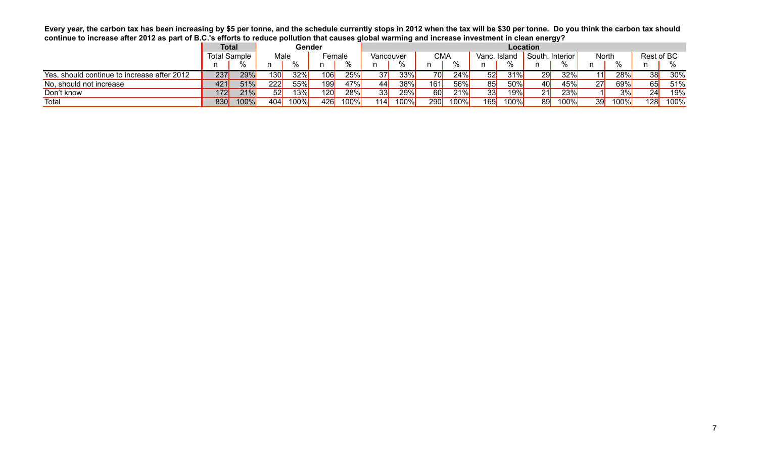**Every year, the carbon tax has been increasing by \$5 per tonne, and the schedule currently stops in 2012 when the tax will be \$30 per tonne. Do you think the carbon tax should continue to increase after 2012 as part of B.C.'s efforts to reduce pollution that causes global warming and increase investment in clean energy?**

|                                             | Total               |         |      | Gender |     |             |                 |           |                   |      |              |      | Location |                 |       |      |                 |      |
|---------------------------------------------|---------------------|---------|------|--------|-----|-------------|-----------------|-----------|-------------------|------|--------------|------|----------|-----------------|-------|------|-----------------|------|
|                                             | <b>Total Sample</b> |         | Male |        |     | Female      |                 | Vancouver | CMA               |      | Vanc. Island |      | South.   | <b>Interior</b> | North |      | Rest of BC      |      |
|                                             | n                   |         | n    | 0/2    |     |             | n               |           |                   |      |              | 0/2  | n        |                 |       |      |                 |      |
| Yes, should continue to increase after 2012 | 237                 | 29%     | 130l | 32%    | 106 | $25\%$      | 37              | $33\%$    | 70 <mark> </mark> | 24%  | 52           | 31%l | 29       | 32%             |       | 28%  | 38 <sup>l</sup> | 30%  |
| No, should not increase                     | 421                 | 51%     | 222  | 55%    | 199 | 47%         | 44              | 38%       | 161               | 56%  | 85           | 50%  | 40       | 45%             | 27    | 69%  | 65              | 51%  |
| Don't know                                  | 172                 | 21%     | 52   | 13%    | 120 | 28%         | 33 <sub>l</sub> | 29%       | <b>60</b>         | 21%  | 33           | 19%  | 21       | 23%             |       | 3%   | 24              | 19%  |
| Total                                       | 830                 | $100\%$ | 404  | 100%   | 426 | <b>100%</b> | 114             | 100%      | 290               | 100% | 169          | 100% | 89       | 100%            | 39    | 100% | 128             | 100% |